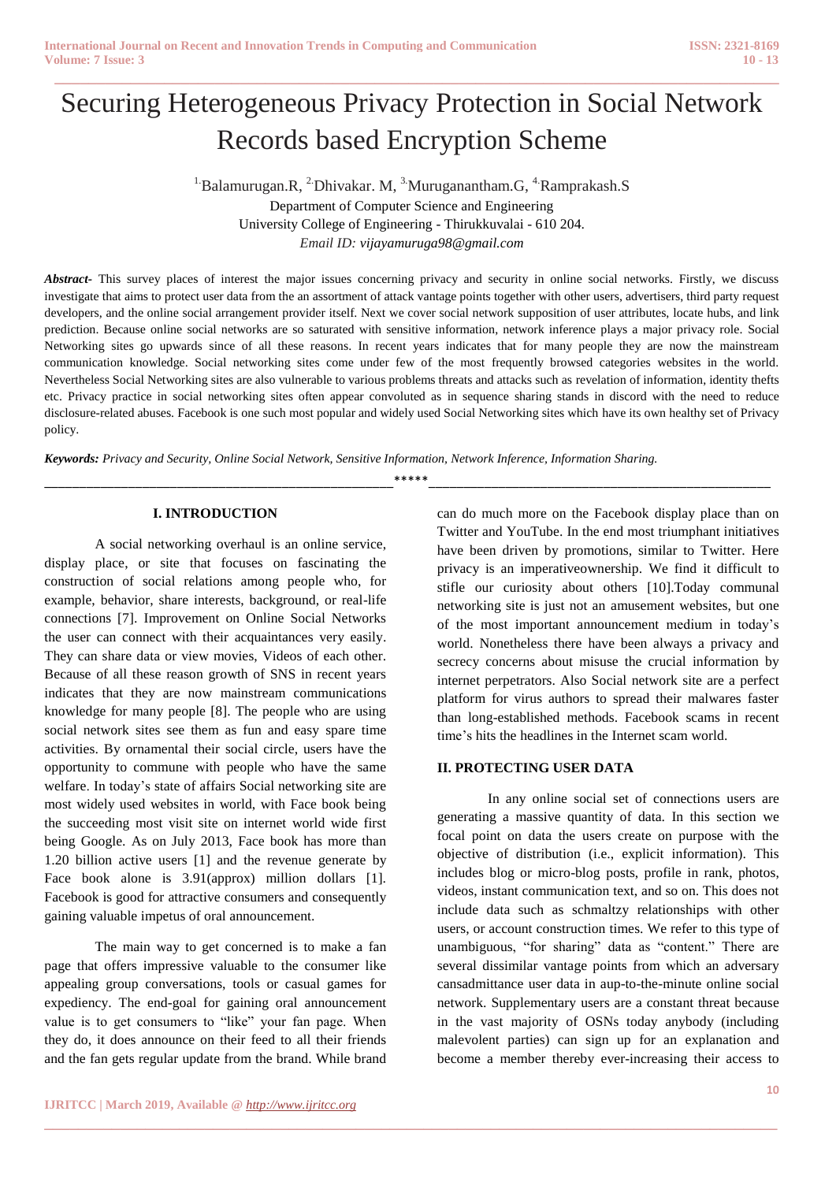# Securing Heterogeneous Privacy Protection in Social Network Records based Encryption Scheme

**\_\_\_\_\_\_\_\_\_\_\_\_\_\_\_\_\_\_\_\_\_\_\_\_\_\_\_\_\_\_\_\_\_\_\_\_\_\_\_\_\_\_\_\_\_\_\_\_\_\_\_\_\_\_\_\_\_\_\_\_\_\_\_\_\_\_\_\_\_\_\_\_\_\_\_\_\_\_\_\_\_\_\_\_\_\_**

<sup>1.</sup>Balamurugan.R, <sup>2.</sup>Dhivakar. M, <sup>3.</sup>Muruganantham.G, <sup>4.</sup>Ramprakash.S Department of Computer Science and Engineering University College of Engineering - Thirukkuvalai - 610 204. *Email ID: vijayamuruga98@gmail.com*

*Abstract-* This survey places of interest the major issues concerning privacy and security in online social networks. Firstly, we discuss investigate that aims to protect user data from the an assortment of attack vantage points together with other users, advertisers, third party request developers, and the online social arrangement provider itself. Next we cover social network supposition of user attributes, locate hubs, and link prediction. Because online social networks are so saturated with sensitive information, network inference plays a major privacy role. Social Networking sites go upwards since of all these reasons. In recent years indicates that for many people they are now the mainstream communication knowledge. Social networking sites come under few of the most frequently browsed categories websites in the world. Nevertheless Social Networking sites are also vulnerable to various problems threats and attacks such as revelation of information, identity thefts etc. Privacy practice in social networking sites often appear convoluted as in sequence sharing stands in discord with the need to reduce disclosure-related abuses. Facebook is one such most popular and widely used Social Networking sites which have its own healthy set of Privacy policy.

*Keywords: Privacy and Security, Online Social Network, Sensitive Information, Network Inference, Information Sharing.*

\_\_\_\_\_\_\_\_\_\_\_\_\_\_\_\_\_\_\_\_\_\_\_\_\_\_\_\_\_\_\_\_\_\_\_\_\_\_\_\_\_\_\_\_\_\_\_\_\_\_\*\*\*\*\*\_\_\_\_\_\_\_\_\_\_\_\_\_\_\_\_\_\_\_\_\_\_\_\_\_\_\_\_\_\_\_\_\_\_\_\_\_\_\_\_\_\_\_\_\_\_\_\_\_

**\_\_\_\_\_\_\_\_\_\_\_\_\_\_\_\_\_\_\_\_\_\_\_\_\_\_\_\_\_\_\_\_\_\_\_\_\_\_\_\_\_\_\_\_\_\_\_\_\_\_\_\_\_\_\_\_\_\_\_\_\_\_\_\_\_\_\_\_\_\_\_\_\_\_\_\_\_\_\_\_\_\_\_\_\_\_\_**

#### **I. INTRODUCTION**

A social networking overhaul is an online service, display place, or site that focuses on fascinating the construction of social relations among people who, for example, behavior, share interests, background, or real-life connections [7]. Improvement on Online Social Networks the user can connect with their acquaintances very easily. They can share data or view movies, Videos of each other. Because of all these reason growth of SNS in recent years indicates that they are now mainstream communications knowledge for many people [8]. The people who are using social network sites see them as fun and easy spare time activities. By ornamental their social circle, users have the opportunity to commune with people who have the same welfare. In today's state of affairs Social networking site are most widely used websites in world, with Face book being the succeeding most visit site on internet world wide first being Google. As on July 2013, Face book has more than 1.20 billion active users [1] and the revenue generate by Face book alone is 3.91(approx) million dollars [1]. Facebook is good for attractive consumers and consequently gaining valuable impetus of oral announcement.

The main way to get concerned is to make a fan page that offers impressive valuable to the consumer like appealing group conversations, tools or casual games for expediency. The end-goal for gaining oral announcement value is to get consumers to "like" your fan page. When they do, it does announce on their feed to all their friends and the fan gets regular update from the brand. While brand

can do much more on the Facebook display place than on Twitter and YouTube. In the end most triumphant initiatives have been driven by promotions, similar to Twitter. Here privacy is an imperativeownership. We find it difficult to stifle our curiosity about others [10].Today communal networking site is just not an amusement websites, but one of the most important announcement medium in today's world. Nonetheless there have been always a privacy and secrecy concerns about misuse the crucial information by internet perpetrators. Also Social network site are a perfect platform for virus authors to spread their malwares faster than long-established methods. Facebook scams in recent time's hits the headlines in the Internet scam world.

#### **II. PROTECTING USER DATA**

In any online social set of connections users are generating a massive quantity of data. In this section we focal point on data the users create on purpose with the objective of distribution (i.e., explicit information). This includes blog or micro-blog posts, profile in rank, photos, videos, instant communication text, and so on. This does not include data such as schmaltzy relationships with other users, or account construction times. We refer to this type of unambiguous, "for sharing" data as "content." There are several dissimilar vantage points from which an adversary cansadmittance user data in aup-to-the-minute online social network. Supplementary users are a constant threat because in the vast majority of OSNs today anybody (including malevolent parties) can sign up for an explanation and become a member thereby ever-increasing their access to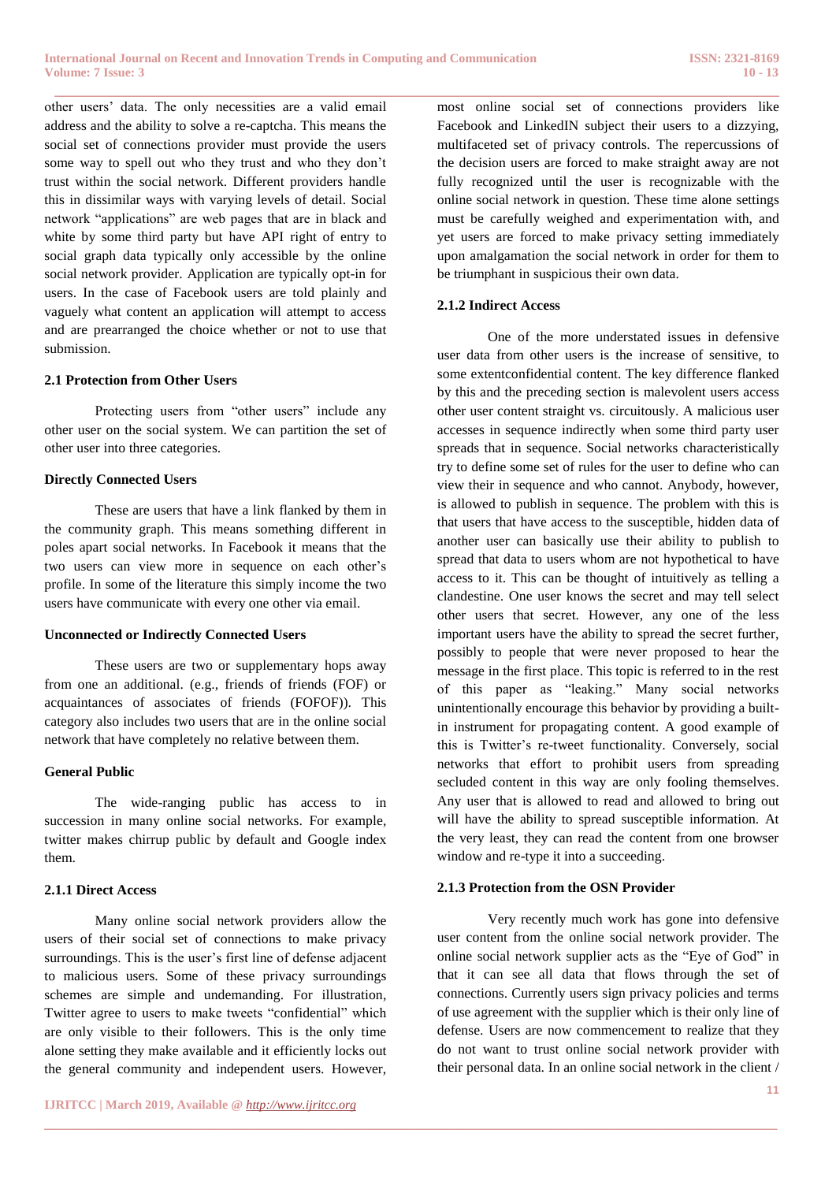other users' data. The only necessities are a valid email address and the ability to solve a re-captcha. This means the social set of connections provider must provide the users some way to spell out who they trust and who they don't trust within the social network. Different providers handle this in dissimilar ways with varying levels of detail. Social network "applications" are web pages that are in black and white by some third party but have API right of entry to social graph data typically only accessible by the online social network provider. Application are typically opt-in for users. In the case of Facebook users are told plainly and vaguely what content an application will attempt to access and are prearranged the choice whether or not to use that submission.

## **2.1 Protection from Other Users**

Protecting users from "other users" include any other user on the social system. We can partition the set of other user into three categories.

#### **Directly Connected Users**

These are users that have a link flanked by them in the community graph. This means something different in poles apart social networks. In Facebook it means that the two users can view more in sequence on each other's profile. In some of the literature this simply income the two users have communicate with every one other via email.

#### **Unconnected or Indirectly Connected Users**

These users are two or supplementary hops away from one an additional. (e.g., friends of friends (FOF) or acquaintances of associates of friends (FOFOF)). This category also includes two users that are in the online social network that have completely no relative between them.

#### **General Public**

The wide-ranging public has access to in succession in many online social networks. For example, twitter makes chirrup public by default and Google index them.

#### **2.1.1 Direct Access**

Many online social network providers allow the users of their social set of connections to make privacy surroundings. This is the user's first line of defense adjacent to malicious users. Some of these privacy surroundings schemes are simple and undemanding. For illustration, Twitter agree to users to make tweets "confidential" which are only visible to their followers. This is the only time alone setting they make available and it efficiently locks out the general community and independent users. However, most online social set of connections providers like Facebook and LinkedIN subject their users to a dizzying, multifaceted set of privacy controls. The repercussions of the decision users are forced to make straight away are not fully recognized until the user is recognizable with the online social network in question. These time alone settings must be carefully weighed and experimentation with, and yet users are forced to make privacy setting immediately upon amalgamation the social network in order for them to be triumphant in suspicious their own data.

## **2.1.2 Indirect Access**

**\_\_\_\_\_\_\_\_\_\_\_\_\_\_\_\_\_\_\_\_\_\_\_\_\_\_\_\_\_\_\_\_\_\_\_\_\_\_\_\_\_\_\_\_\_\_\_\_\_\_\_\_\_\_\_\_\_\_\_\_\_\_\_\_\_\_\_\_\_\_\_\_\_\_\_\_\_\_\_\_\_\_\_\_\_\_**

One of the more understated issues in defensive user data from other users is the increase of sensitive, to some extentconfidential content. The key difference flanked by this and the preceding section is malevolent users access other user content straight vs. circuitously. A malicious user accesses in sequence indirectly when some third party user spreads that in sequence. Social networks characteristically try to define some set of rules for the user to define who can view their in sequence and who cannot. Anybody, however, is allowed to publish in sequence. The problem with this is that users that have access to the susceptible, hidden data of another user can basically use their ability to publish to spread that data to users whom are not hypothetical to have access to it. This can be thought of intuitively as telling a clandestine. One user knows the secret and may tell select other users that secret. However, any one of the less important users have the ability to spread the secret further, possibly to people that were never proposed to hear the message in the first place. This topic is referred to in the rest of this paper as "leaking." Many social networks unintentionally encourage this behavior by providing a builtin instrument for propagating content. A good example of this is Twitter's re-tweet functionality. Conversely, social networks that effort to prohibit users from spreading secluded content in this way are only fooling themselves. Any user that is allowed to read and allowed to bring out will have the ability to spread susceptible information. At the very least, they can read the content from one browser window and re-type it into a succeeding.

#### **2.1.3 Protection from the OSN Provider**

**\_\_\_\_\_\_\_\_\_\_\_\_\_\_\_\_\_\_\_\_\_\_\_\_\_\_\_\_\_\_\_\_\_\_\_\_\_\_\_\_\_\_\_\_\_\_\_\_\_\_\_\_\_\_\_\_\_\_\_\_\_\_\_\_\_\_\_\_\_\_\_\_\_\_\_\_\_\_\_\_\_\_\_\_\_\_\_**

Very recently much work has gone into defensive user content from the online social network provider. The online social network supplier acts as the "Eye of God" in that it can see all data that flows through the set of connections. Currently users sign privacy policies and terms of use agreement with the supplier which is their only line of defense. Users are now commencement to realize that they do not want to trust online social network provider with their personal data. In an online social network in the client /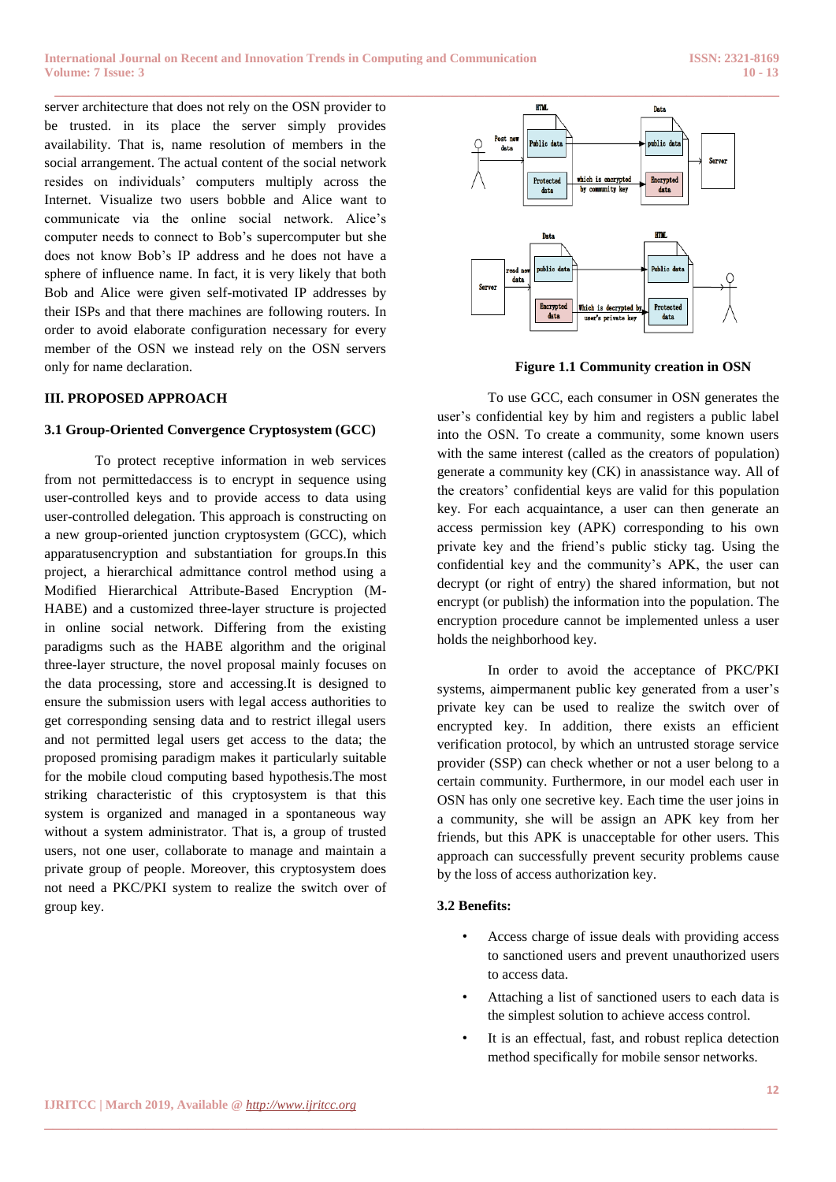server architecture that does not rely on the OSN provider to be trusted. in its place the server simply provides availability. That is, name resolution of members in the social arrangement. The actual content of the social network resides on individuals' computers multiply across the Internet. Visualize two users bobble and Alice want to communicate via the online social network. Alice's computer needs to connect to Bob's supercomputer but she does not know Bob's IP address and he does not have a sphere of influence name. In fact, it is very likely that both Bob and Alice were given self-motivated IP addresses by their ISPs and that there machines are following routers. In order to avoid elaborate configuration necessary for every member of the OSN we instead rely on the OSN servers only for name declaration.

## **III. PROPOSED APPROACH**

## **3.1 Group-Oriented Convergence Cryptosystem (GCC)**

To protect receptive information in web services from not permittedaccess is to encrypt in sequence using user-controlled keys and to provide access to data using user-controlled delegation. This approach is constructing on a new group-oriented junction cryptosystem (GCC), which apparatusencryption and substantiation for groups.In this project, a hierarchical admittance control method using a Modified Hierarchical Attribute-Based Encryption (M-HABE) and a customized three-layer structure is projected in online social network. Differing from the existing paradigms such as the HABE algorithm and the original three-layer structure, the novel proposal mainly focuses on the data processing, store and accessing.It is designed to ensure the submission users with legal access authorities to get corresponding sensing data and to restrict illegal users and not permitted legal users get access to the data; the proposed promising paradigm makes it particularly suitable for the mobile cloud computing based hypothesis.The most striking characteristic of this cryptosystem is that this system is organized and managed in a spontaneous way without a system administrator. That is, a group of trusted users, not one user, collaborate to manage and maintain a private group of people. Moreover, this cryptosystem does not need a PKC/PKI system to realize the switch over of group key.



**Figure 1.1 Community creation in OSN**

To use GCC, each consumer in OSN generates the user's confidential key by him and registers a public label into the OSN. To create a community, some known users with the same interest (called as the creators of population) generate a community key (CK) in anassistance way. All of the creators' confidential keys are valid for this population key. For each acquaintance, a user can then generate an access permission key (APK) corresponding to his own private key and the friend's public sticky tag. Using the confidential key and the community's APK, the user can decrypt (or right of entry) the shared information, but not encrypt (or publish) the information into the population. The encryption procedure cannot be implemented unless a user holds the neighborhood key.

In order to avoid the acceptance of PKC/PKI systems, aimpermanent public key generated from a user's private key can be used to realize the switch over of encrypted key. In addition, there exists an efficient verification protocol, by which an untrusted storage service provider (SSP) can check whether or not a user belong to a certain community. Furthermore, in our model each user in OSN has only one secretive key. Each time the user joins in a community, she will be assign an APK key from her friends, but this APK is unacceptable for other users. This approach can successfully prevent security problems cause by the loss of access authorization key.

## **3.2 Benefits:**

**\_\_\_\_\_\_\_\_\_\_\_\_\_\_\_\_\_\_\_\_\_\_\_\_\_\_\_\_\_\_\_\_\_\_\_\_\_\_\_\_\_\_\_\_\_\_\_\_\_\_\_\_\_\_\_\_\_\_\_\_\_\_\_\_\_\_\_\_\_\_\_\_\_\_\_\_\_\_\_\_\_\_\_\_\_\_\_**

- Access charge of issue deals with providing access to sanctioned users and prevent unauthorized users to access data.
- Attaching a list of sanctioned users to each data is the simplest solution to achieve access control.
- It is an effectual, fast, and robust replica detection method specifically for mobile sensor networks.